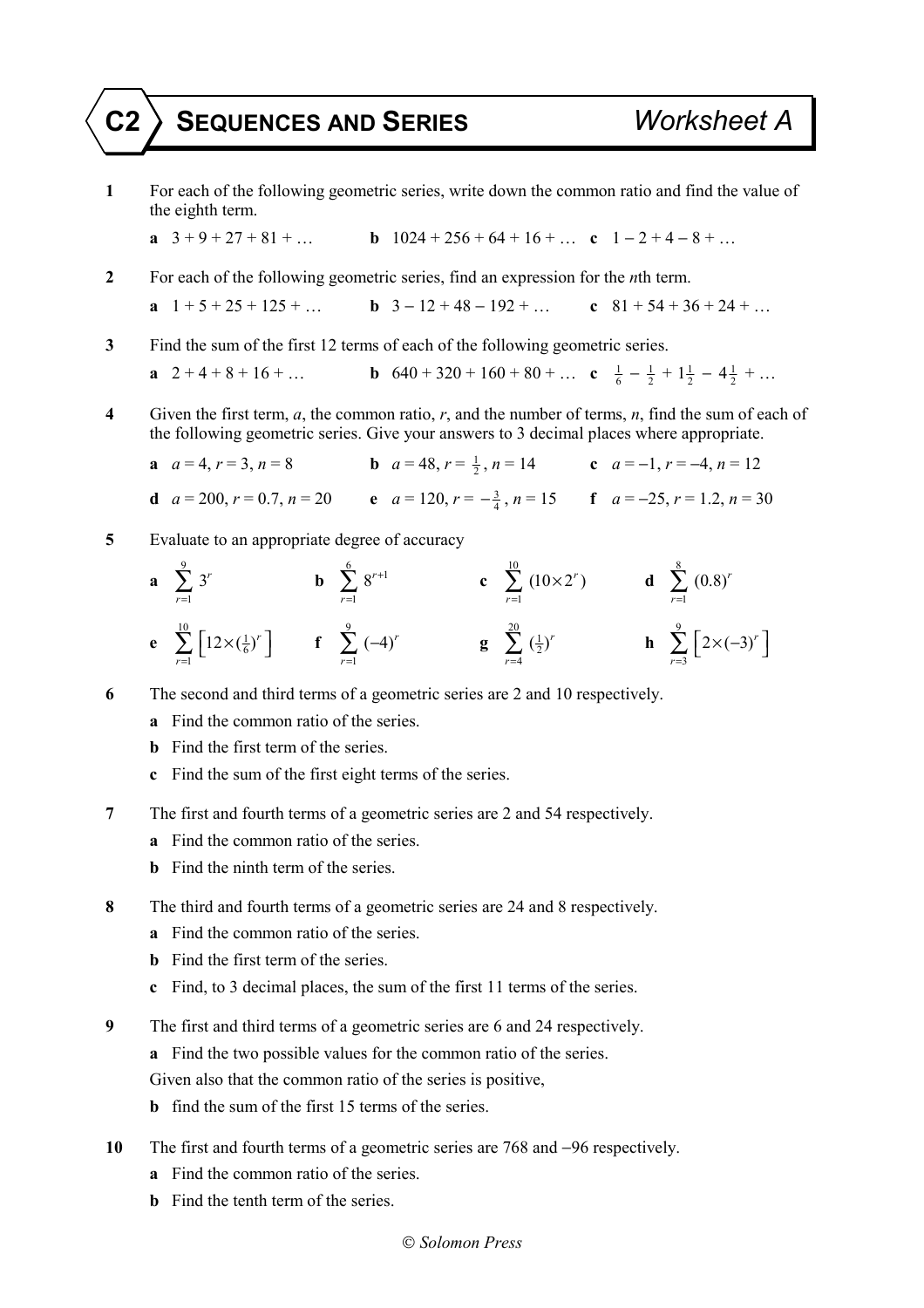## **C2 SEQUENCES AND SERIES** *Worksheet A*

**1** For each of the following geometric series, write down the common ratio and find the value of the eighth term.

**a** 
$$
3+9+27+81+...
$$
 **b**  $1024+256+64+16+...$  **c**  $1-2+4-8+...$ 

- **2** For each of the following geometric series, find an expression for the *n*th term.
	- **a**  $1 + 5 + 25 + 125 + ...$  **b**  $3 12 + 48 192 + ...$  **c**  $81 + 54 + 36 + 24 + ...$
- **3** Find the sum of the first 12 terms of each of the following geometric series.

**a** 
$$
2+4+8+16+...
$$
 **b**  $640+320+160+80+...$  **c**  $\frac{1}{6}-\frac{1}{2}+1\frac{1}{2}-4\frac{1}{2}+...$ 

- **4** Given the first term, *a*, the common ratio, *r*, and the number of terms, *n*, find the sum of each of the following geometric series. Give your answers to 3 decimal places where appropriate.
	- **a**  $a = 4, r = 3, n = 8$  **b**  $a = 48, r = \frac{1}{2}, n = 14$  **c**  $a = -1, r = -4, n = 12$ **d**  $a = 200, r = 0.7, n = 20$  **e**  $a = 120, r = -\frac{3}{4}, n = 15$  **f**  $a = -25, r = 1.2, n = 30$
- **5** Evaluate to an appropriate degree of accuracy

**a** 
$$
\sum_{r=1}^{9} 3^r
$$
 **b**  $\sum_{r=1}^{6} 8^{r+1}$  **c**  $\sum_{r=1}^{10} (10 \times 2^r)$  **d**  $\sum_{r=1}^{8} (0.8)^r$   
\n**e**  $\sum_{r=1}^{10} [12 \times (\frac{1}{6})^r]$  **f**  $\sum_{r=1}^{9} (-4)^r$  **g**  $\sum_{r=4}^{20} (\frac{1}{2})^r$  **h**  $\sum_{r=3}^{9} [2 \times (-3)^r]$ 

- **6** The second and third terms of a geometric series are 2 and 10 respectively.
	- **a** Find the common ratio of the series.
	- **b** Find the first term of the series.
	- **c** Find the sum of the first eight terms of the series.
- **7** The first and fourth terms of a geometric series are 2 and 54 respectively.
	- **a** Find the common ratio of the series.
	- **b** Find the ninth term of the series.
- **8** The third and fourth terms of a geometric series are 24 and 8 respectively.
	- **a** Find the common ratio of the series.
	- **b** Find the first term of the series.
	- **c** Find, to 3 decimal places, the sum of the first 11 terms of the series.
- **9** The first and third terms of a geometric series are 6 and 24 respectively.
	- **a** Find the two possible values for the common ratio of the series.
	- Given also that the common ratio of the series is positive,
	- **b** find the sum of the first 15 terms of the series.
- **10** The first and fourth terms of a geometric series are 768 and −96 respectively.
	- **a** Find the common ratio of the series.
	- **b** Find the tenth term of the series.